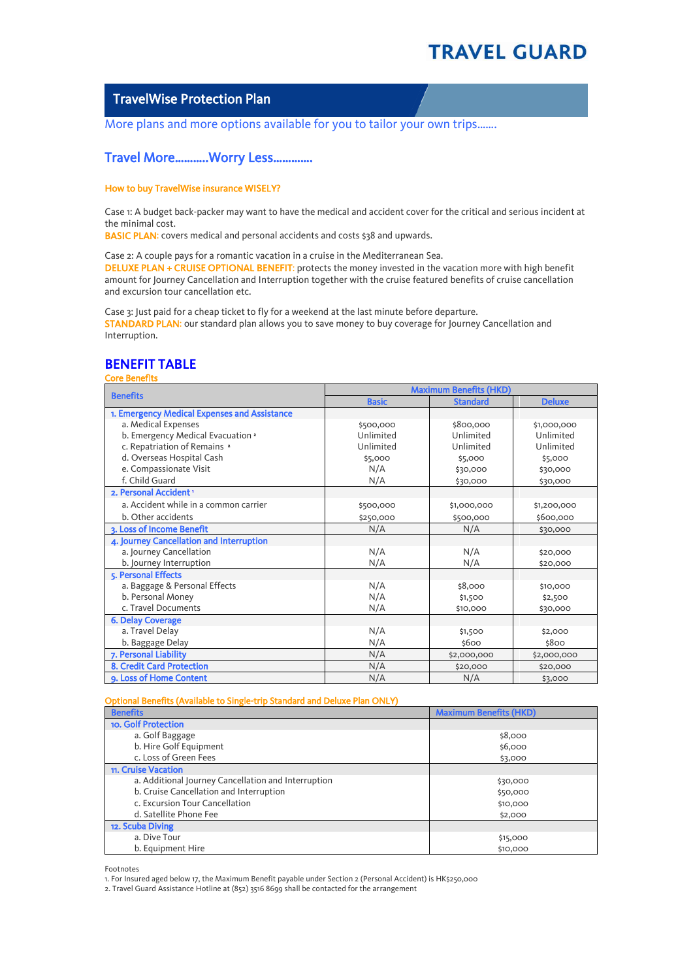$\overline{\phantom{a}}$ 

## TravelWise Protection Plan

More plans and more options available for you to tailor your own trips.......

## Travel More………..Worry Less………….

### How to buy TravelWise insurance WISELY?

Case 1: A budget back-packer may want to have the medical and accident cover for the critical and serious incident at the minimal cost.

BASIC PLAN: covers medical and personal accidents and costs \$38 and upwards.

Case 2: A couple pays for a romantic vacation in a cruise in the Mediterranean Sea. DELUXE PLAN + CRUISE OPTIONAL BENEFIT: protects the money invested in the vacation more with high benefit amount for Journey Cancellation and Interruption together with the cruise featured benefits of cruise cancellation and excursion tour cancellation etc.

Case 3: Just paid for a cheap ticket to fly for a weekend at the last minute before departure. STANDARD PLAN: our standard plan allows you to save money to buy coverage for Journey Cancellation and Interruption.

# BENEFIT TABLE

### Core Benefits

| <b>Benefits</b>                              | <b>Maximum Benefits (HKD)</b> |                 |               |  |
|----------------------------------------------|-------------------------------|-----------------|---------------|--|
|                                              | <b>Basic</b>                  | <b>Standard</b> | <b>Deluxe</b> |  |
| 1. Emergency Medical Expenses and Assistance |                               |                 |               |  |
| a. Medical Expenses                          | \$500,000                     | \$800,000       | \$1,000,000   |  |
| b. Emergency Medical Evacuation 2            | Unlimited                     | Unlimited       | Unlimited     |  |
| c. Repatriation of Remains <sup>2</sup>      | Unlimited                     | Unlimited       | Unlimited     |  |
| d. Overseas Hospital Cash                    | \$5,000                       | \$5,000         | \$5,000       |  |
| e. Compassionate Visit                       | N/A                           | \$30,000        | \$30,000      |  |
| f. Child Guard                               | N/A                           | \$30,000        | \$30,000      |  |
| 2. Personal Accident '                       |                               |                 |               |  |
| a. Accident while in a common carrier        | \$500,000                     | \$1,000,000     | \$1,200,000   |  |
| b. Other accidents                           | \$250,000                     | \$500,000       | \$600,000     |  |
| 3. Loss of Income Benefit                    | N/A                           | N/A             | \$30,000      |  |
| 4. Journey Cancellation and Interruption     |                               |                 |               |  |
| a. Journey Cancellation                      | N/A                           | N/A             | \$20,000      |  |
| b. Journey Interruption                      | N/A                           | N/A             | \$20,000      |  |
| 5. Personal Effects                          |                               |                 |               |  |
| a. Baggage & Personal Effects                | N/A                           | \$8,000         | \$10,000      |  |
| b. Personal Money                            | N/A                           | \$1,500         | \$2,500       |  |
| c. Travel Documents                          | N/A                           | \$10,000        | \$30,000      |  |
| <b>6. Delay Coverage</b>                     |                               |                 |               |  |
| a. Travel Delay                              | N/A                           | \$1,500         | \$2,000       |  |
| b. Baggage Delay                             | N/A                           | \$600           | \$800         |  |
| 7. Personal Liability                        | N/A                           | \$2,000,000     | \$2,000,000   |  |
| <b>8. Credit Card Protection</b>             | N/A                           | \$20,000        | \$20,000      |  |
| 9. Loss of Home Content                      | N/A                           | N/A             | \$3,000       |  |

#### Optional Benefits (Available to Single-trip Standard and Deluxe Plan ONLY)

| <b>Benefits</b>                                     | <b>Maximum Benefits (HKD)</b> |
|-----------------------------------------------------|-------------------------------|
| <b>10. Golf Protection</b>                          |                               |
| a. Golf Baggage                                     | \$8,000                       |
| b. Hire Golf Equipment                              | \$6,000                       |
| c. Loss of Green Fees                               | \$3,000                       |
| 11. Cruise Vacation                                 |                               |
| a. Additional Journey Cancellation and Interruption | \$30,000                      |
| b. Cruise Cancellation and Interruption             | \$50,000                      |
| c. Excursion Tour Cancellation                      | \$10,000                      |
| d. Satellite Phone Fee                              | \$2,000                       |
| 12. Scuba Diving                                    |                               |
| a. Dive Tour                                        | \$15,000                      |
| b. Equipment Hire                                   | \$10,000                      |

Footnotes

1. For Insured aged below 17, the Maximum Benefit payable under Section 2 (Personal Accident) is HK\$250,000

2. Travel Guard Assistance Hotline at (852) 3516 8699 shall be contacted for the arrangement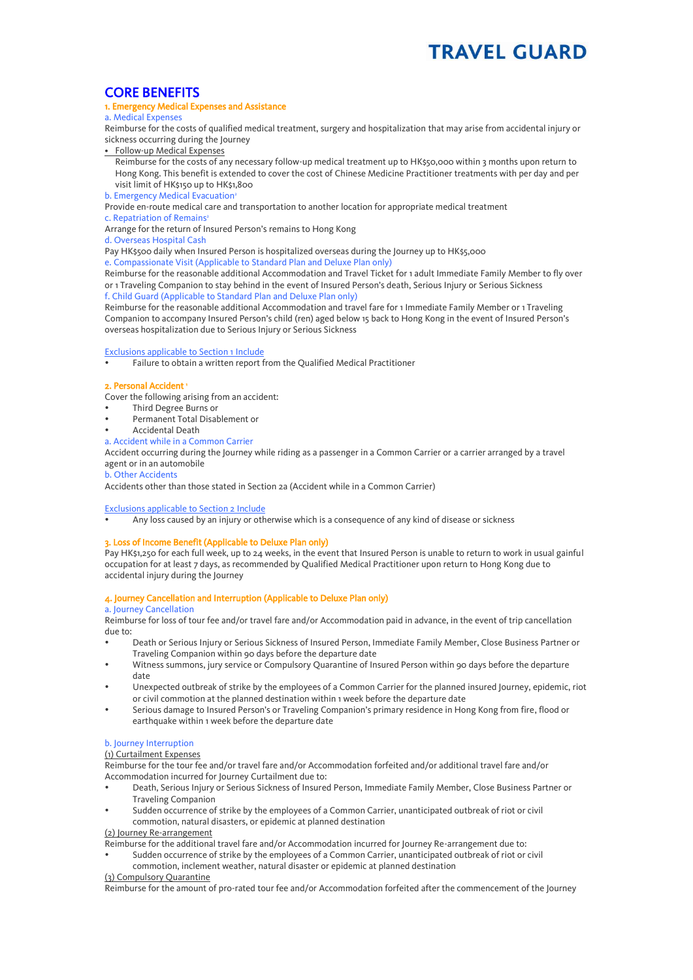## CORE BENEFITS

### 1. Emergency Medical Expenses and Assistance

a. Medical Expenses

Reimburse for the costs of qualified medical treatment, surgery and hospitalization that may arise from accidental injury or sickness occurring during the Journey

• Follow-up Medical Expenses

Reimburse for the costs of any necessary follow-up medical treatment up to HK\$50,000 within 3 months upon return to Hong Kong. This benefit is extended to cover the cost of Chinese Medicine Practitioner treatments with per day and per visit limit of HK\$150 up to HK\$1,800

b. Emergency Medical Evacuation

Provide en-route medical care and transportation to another location for appropriate medical treatment

c. Repatriation of Remains<sup>2</sup>

Arrange for the return of Insured Person's remains to Hong Kong

d. Overseas Hospital Cash

Pay HK\$500 daily when Insured Person is hospitalized overseas during the Journey up to HK\$5,000

e. Compassionate Visit (Applicable to Standard Plan and Deluxe Plan only)

Reimburse for the reasonable additional Accommodation and Travel Ticket for 1 adult Immediate Family Member to fly over or 1 Traveling Companion to stay behind in the event of Insured Person's death, Serious Injury or Serious Sickness f. Child Guard (Applicable to Standard Plan and Deluxe Plan only)

Reimburse for the reasonable additional Accommodation and travel fare for 1 Immediate Family Member or 1 Traveling Companion to accompany Insured Person's child (ren) aged below 15 back to Hong Kong in the event of Insured Person's overseas hospitalization due to Serious Injury or Serious Sickness

#### Exclusions applicable to Section 1 Include

Failure to obtain a written report from the Qualified Medical Practitioner

#### 2. Personal Accident 1

Cover the following arising from an accident:

- Third Degree Burns or
- Permanent Total Disablement or
- Accidental Death
- a. Accident while in a Common Carrier

Accident occurring during the Journey while riding as a passenger in a Common Carrier or a carrier arranged by a travel agent or in an automobile

#### b. Other Accidents

Accidents other than those stated in Section 2a (Accident while in a Common Carrier)

#### Exclusions applicable to Section 2 Include

Any loss caused by an injury or otherwise which is a consequence of any kind of disease or sickness

#### 3. Loss of Income Benefit (Applicable to Deluxe Plan only)

Pay HK\$1,250 for each full week, up to 24 weeks, in the event that Insured Person is unable to return to work in usual gainful occupation for at least 7 days, as recommended by Qualified Medical Practitioner upon return to Hong Kong due to accidental injury during the Journey

### 4. Journey Cancellation and Interruption (Applicable to Deluxe Plan only)

a. Journey Cancellation

Reimburse for loss of tour fee and/or travel fare and/or Accommodation paid in advance, in the event of trip cancellation due to:

- Death or Serious Injury or Serious Sickness of Insured Person, Immediate Family Member, Close Business Partner or Traveling Companion within 90 days before the departure date
- Witness summons, jury service or Compulsory Quarantine of Insured Person within 90 days before the departure date
- Unexpected outbreak of strike by the employees of a Common Carrier for the planned insured Journey, epidemic, riot or civil commotion at the planned destination within 1 week before the departure date
- Serious damage to Insured Person's or Traveling Companion's primary residence in Hong Kong from fire, flood or earthquake within 1 week before the departure date

## b. Journey Interruption

## (1) Curtailment Expenses

Reimburse for the tour fee and/or travel fare and/or Accommodation forfeited and/or additional travel fare and/or Accommodation incurred for Journey Curtailment due to:

- Death, Serious Injury or Serious Sickness of Insured Person, Immediate Family Member, Close Business Partner or Traveling Companion
- Sudden occurrence of strike by the employees of a Common Carrier, unanticipated outbreak of riot or civil commotion, natural disasters, or epidemic at planned destination

(2) Journey Re-arrangement

Reimburse for the additional travel fare and/or Accommodation incurred for Journey Re-arrangement due to:

 Sudden occurrence of strike by the employees of a Common Carrier, unanticipated outbreak of riot or civil commotion, inclement weather, natural disaster or epidemic at planned destination

#### (3) Compulsory Quarantine

Reimburse for the amount of pro-rated tour fee and/or Accommodation forfeited after the commencement of the Journey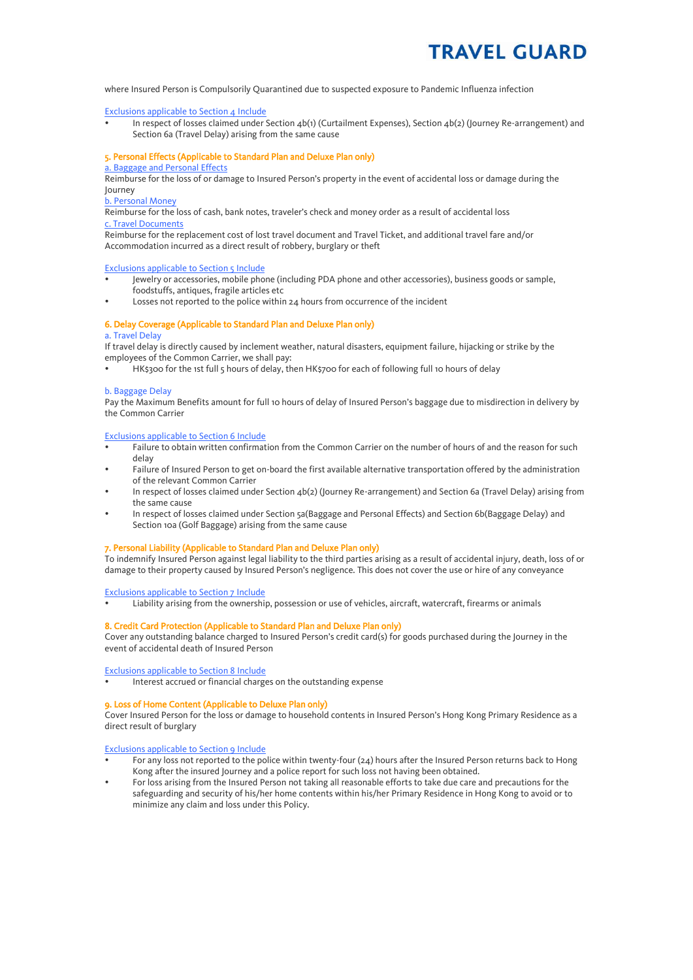where Insured Person is Compulsorily Quarantined due to suspected exposure to Pandemic Influenza infection

#### Exclusions applicable to Section 4 Include

 In respect of losses claimed under Section 4b(1) (Curtailment Expenses), Section 4b(2) (Journey Re-arrangement) and Section 6a (Travel Delay) arising from the same cause

#### 5. Personal Effects (Applicable to Standard Plan and Deluxe Plan only)

## a. Baggage and Personal Effects

Reimburse for the loss of or damage to Insured Person's property in the event of accidental loss or damage during the Journey

## b. Personal Money

Reimburse for the loss of cash, bank notes, traveler's check and money order as a result of accidental loss c. Travel Documents

Reimburse for the replacement cost of lost travel document and Travel Ticket, and additional travel fare and/or Accommodation incurred as a direct result of robbery, burglary or theft

#### Exclusions applicable to Section 5 Include

- Jewelry or accessories, mobile phone (including PDA phone and other accessories), business goods or sample, foodstuffs, antiques, fragile articles etc
- Losses not reported to the police within 24 hours from occurrence of the incident

## 6. Delay Coverage (Applicable to Standard Plan and Deluxe Plan only)

#### a. Travel Delay

If travel delay is directly caused by inclement weather, natural disasters, equipment failure, hijacking or strike by the employees of the Common Carrier, we shall pay:

HK\$300 for the 1st full 5 hours of delay, then HK\$700 for each of following full 10 hours of delay

#### b. Baggage Delay

Pay the Maximum Benefits amount for full 10 hours of delay of Insured Person's baggage due to misdirection in delivery by the Common Carrier

#### Exclusions applicable to Section 6 Include

- Failure to obtain written confirmation from the Common Carrier on the number of hours of and the reason for such delay
- Failure of Insured Person to get on-board the first available alternative transportation offered by the administration of the relevant Common Carrier
- In respect of losses claimed under Section 4b(2) (Journey Re-arrangement) and Section 6a (Travel Delay) arising from the same cause
- In respect of losses claimed under Section 5a(Baggage and Personal Effects) and Section 6b(Baggage Delay) and Section 10a (Golf Baggage) arising from the same cause

#### 7. Personal Liability (Applicable to Standard Plan and Deluxe Plan only)

To indemnify Insured Person against legal liability to the third parties arising as a result of accidental injury, death, loss of or damage to their property caused by Insured Person's negligence. This does not cover the use or hire of any conveyance

Exclusions applicable to Section 7 Include

Liability arising from the ownership, possession or use of vehicles, aircraft, watercraft, firearms or animals

#### 8. Credit Card Protection (Applicable to Standard Plan and Deluxe Plan only)

Cover any outstanding balance charged to Insured Person's credit card(s) for goods purchased during the Journey in the event of accidental death of Insured Person

Exclusions applicable to Section 8 Include

Interest accrued or financial charges on the outstanding expense

#### 9. Loss of Home Content (Applicable to Deluxe Plan only)

Cover Insured Person for the loss or damage to household contents in Insured Person's Hong Kong Primary Residence as a direct result of burglary

Exclusions applicable to Section 9 Include

- For any loss not reported to the police within twenty-four (24) hours after the Insured Person returns back to Hong Kong after the insured Journey and a police report for such loss not having been obtained.
- For loss arising from the Insured Person not taking all reasonable efforts to take due care and precautions for the safeguarding and security of his/her home contents within his/her Primary Residence in Hong Kong to avoid or to minimize any claim and loss under this Policy.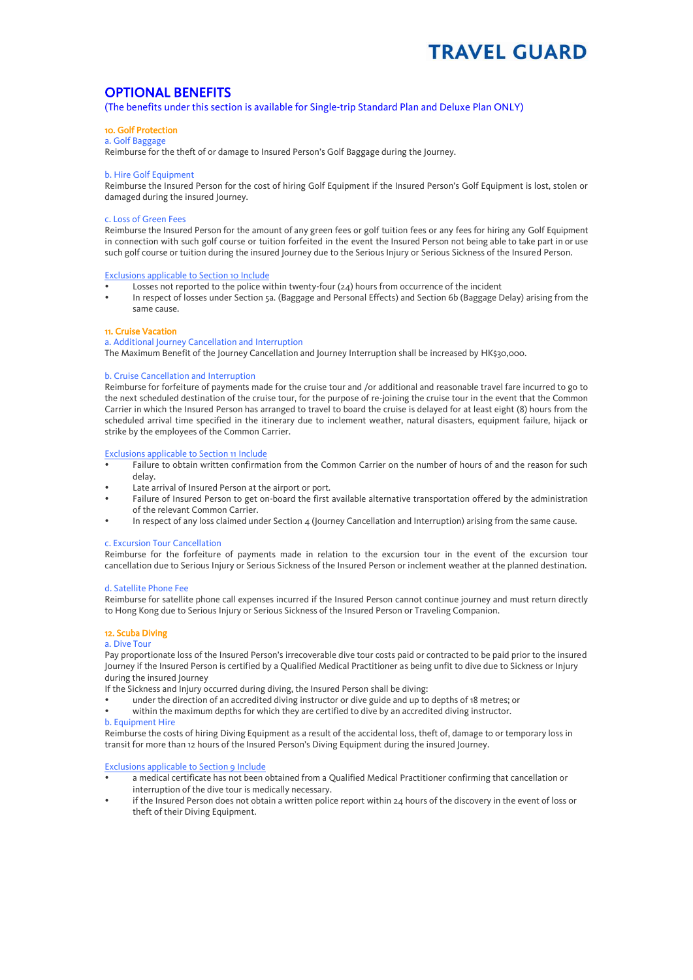# OPTIONAL BENEFITS

(The benefits under this section is available for Single-trip Standard Plan and Deluxe Plan ONLY)

#### 10. Golf Protection a. Golf Baggage

Reimburse for the theft of or damage to Insured Person's Golf Baggage during the Journey.

#### b. Hire Golf Equipment

Reimburse the Insured Person for the cost of hiring Golf Equipment if the Insured Person's Golf Equipment is lost, stolen or damaged during the insured Journey.

#### c. Loss of Green Fees

Reimburse the Insured Person for the amount of any green fees or golf tuition fees or any fees for hiring any Golf Equipment in connection with such golf course or tuition forfeited in the event the Insured Person not being able to take part in or use such golf course or tuition during the insured Journey due to the Serious Injury or Serious Sickness of the Insured Person.

#### Exclusions applicable to Section 10 Include

- Losses not reported to the police within twenty-four (24) hours from occurrence of the incident
- In respect of losses under Section 5a. (Baggage and Personal Effects) and Section 6b (Baggage Delay) arising from the same cause.

#### 11. Cruise Vacation

#### a. Additional Journey Cancellation and Interruption

The Maximum Benefit of the Journey Cancellation and Journey Interruption shall be increased by HK\$30,000.

#### b. Cruise Cancellation and Interruption

Reimburse for forfeiture of payments made for the cruise tour and /or additional and reasonable travel fare incurred to go to the next scheduled destination of the cruise tour, for the purpose of re-joining the cruise tour in the event that the Common Carrier in which the Insured Person has arranged to travel to board the cruise is delayed for at least eight (8) hours from the scheduled arrival time specified in the itinerary due to inclement weather, natural disasters, equipment failure, hijack or strike by the employees of the Common Carrier.

#### Exclusions applicable to Section 11 Include

- Failure to obtain written confirmation from the Common Carrier on the number of hours of and the reason for such delay.
- Late arrival of Insured Person at the airport or port.
- Failure of Insured Person to get on-board the first available alternative transportation offered by the administration of the relevant Common Carrier.
- In respect of any loss claimed under Section 4 (Journey Cancellation and Interruption) arising from the same cause.

#### c. Excursion Tour Cancellation

Reimburse for the forfeiture of payments made in relation to the excursion tour in the event of the excursion tour cancellation due to Serious Injury or Serious Sickness of the Insured Person or inclement weather at the planned destination.

#### d. Satellite Phone Fee

Reimburse for satellite phone call expenses incurred if the Insured Person cannot continue journey and must return directly to Hong Kong due to Serious Injury or Serious Sickness of the Insured Person or Traveling Companion.

#### 12. Scuba Diving

#### a. Dive Tour

Pay proportionate loss of the Insured Person's irrecoverable dive tour costs paid or contracted to be paid prior to the insured Journey if the Insured Person is certified by a Qualified Medical Practitioner as being unfit to dive due to Sickness or Injury during the insured Journey

If the Sickness and Injury occurred during diving, the Insured Person shall be diving:

- under the direction of an accredited diving instructor or dive guide and up to depths of 18 metres; or
- within the maximum depths for which they are certified to dive by an accredited diving instructor. b. Equipment Hire

Reimburse the costs of hiring Diving Equipment as a result of the accidental loss, theft of, damage to or temporary loss in transit for more than 12 hours of the Insured Person's Diving Equipment during the insured Journey.

#### Exclusions applicable to Section 9 Include

- a medical certificate has not been obtained from a Qualified Medical Practitioner confirming that cancellation or interruption of the dive tour is medically necessary.
- if the Insured Person does not obtain a written police report within 24 hours of the discovery in the event of loss or theft of their Diving Equipment.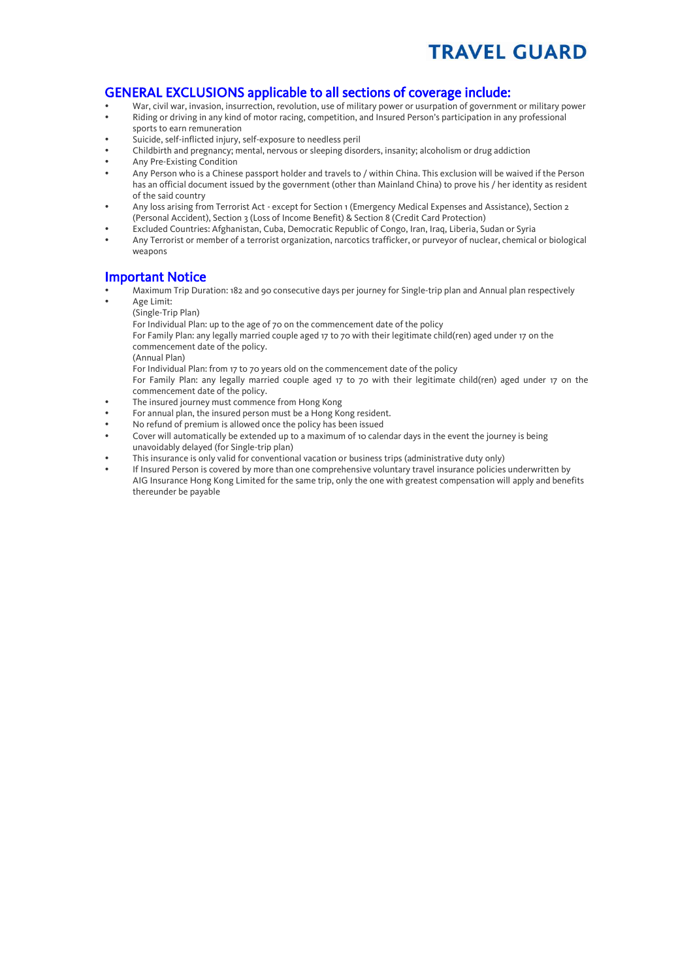# GENERAL EXCLUSIONS applicable to all sections of coverage include:

- War, civil war, invasion, insurrection, revolution, use of military power or usurpation of government or military power
- Riding or driving in any kind of motor racing, competition, and Insured Person's participation in any professional sports to earn remuneration
- Suicide, self-inflicted injury, self-exposure to needless peril
- Childbirth and pregnancy; mental, nervous or sleeping disorders, insanity; alcoholism or drug addiction
- Any Pre-Existing Condition
- Any Person who is a Chinese passport holder and travels to / within China. This exclusion will be waived if the Person has an official document issued by the government (other than Mainland China) to prove his / her identity as resident of the said country
- Any loss arising from Terrorist Act except for Section 1 (Emergency Medical Expenses and Assistance), Section 2 (Personal Accident), Section 3 (Loss of Income Benefit) & Section 8 (Credit Card Protection)
- Excluded Countries: Afghanistan, Cuba, Democratic Republic of Congo, Iran, Iraq, Liberia, Sudan or Syria
- Any Terrorist or member of a terrorist organization, narcotics trafficker, or purveyor of nuclear, chemical or biological weapons

# Important Notice

- Maximum Trip Duration: 182 and 90 consecutive days per journey for Single-trip plan and Annual plan respectively
- Age Limit: (Single-Trip Plan)
	- For Individual Plan: up to the age of 70 on the commencement date of the policy

For Family Plan: any legally married couple aged 17 to 70 with their legitimate child(ren) aged under 17 on the commencement date of the policy.

(Annual Plan)

For Individual Plan: from 17 to 70 years old on the commencement date of the policy

For Family Plan: any legally married couple aged 17 to 70 with their legitimate child(ren) aged under 17 on the commencement date of the policy.

- The insured journey must commence from Hong Kong
- For annual plan, the insured person must be a Hong Kong resident.
- No refund of premium is allowed once the policy has been issued
- Cover will automatically be extended up to a maximum of 10 calendar days in the event the journey is being unavoidably delayed (for Single-trip plan)
- This insurance is only valid for conventional vacation or business trips (administrative duty only)
- If Insured Person is covered by more than one comprehensive voluntary travel insurance policies underwritten by AIG Insurance Hong Kong Limited for the same trip, only the one with greatest compensation will apply and benefits thereunder be payable